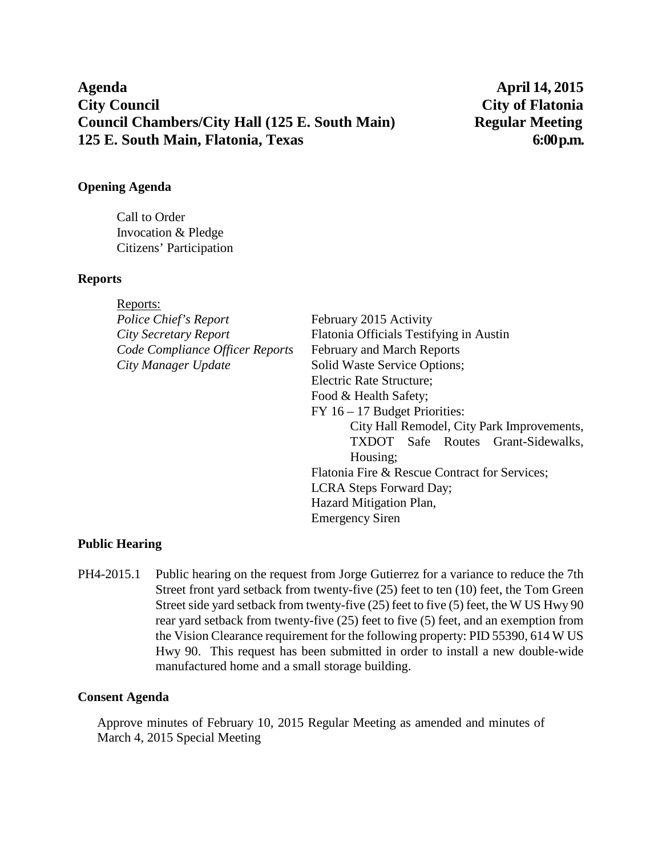# **Agenda April 14, 2015 City Council City of Flatonia Council Chambers/City Hall (125 E. South Main) Regular Meeting 125 E. South Main, Flatonia, Texas 6:00 p.m.**

### **Opening Agenda**

Call to Order Invocation & Pledge Citizens' Participation

#### **Reports**

| Reports:                        |                                               |
|---------------------------------|-----------------------------------------------|
| Police Chief's Report           | February 2015 Activity                        |
| City Secretary Report           | Flatonia Officials Testifying in Austin       |
| Code Compliance Officer Reports | <b>February and March Reports</b>             |
| City Manager Update             | Solid Waste Service Options;                  |
|                                 | Electric Rate Structure;                      |
|                                 | Food & Health Safety;                         |
|                                 | $FY$ 16 – 17 Budget Priorities:               |
|                                 | City Hall Remodel, City Park Improvements,    |
|                                 | <b>TXDOT</b> Safe Routes Grant-Sidewalks,     |
|                                 | Housing;                                      |
|                                 | Flatonia Fire & Rescue Contract for Services; |
|                                 | LCRA Steps Forward Day;                       |
|                                 | Hazard Mitigation Plan,                       |
|                                 | <b>Emergency Siren</b>                        |
|                                 |                                               |

## **Public Hearing**

PH4-2015.1 Public hearing on the request from Jorge Gutierrez for a variance to reduce the 7th Street front yard setback from twenty-five (25) feet to ten (10) feet, the Tom Green Street side yard setback from twenty-five (25) feet to five (5) feet, the W US Hwy 90 rear yard setback from twenty-five (25) feet to five (5) feet, and an exemption from the Vision Clearance requirement for the following property: PID 55390, 614 W US Hwy 90. This request has been submitted in order to install a new double-wide manufactured home and a small storage building.

## **Consent Agenda**

Approve minutes of February 10, 2015 Regular Meeting as amended and minutes of March 4, 2015 Special Meeting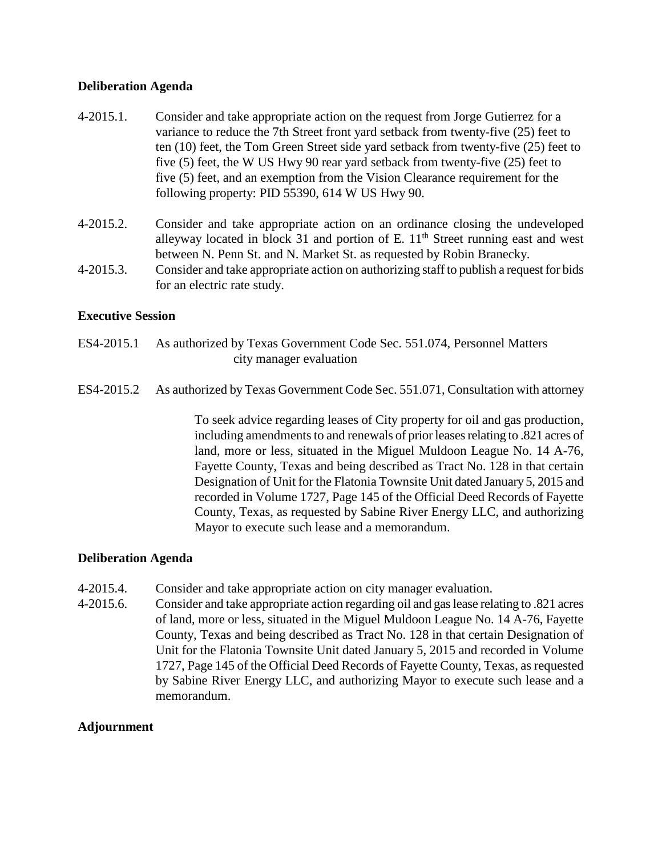#### **Deliberation Agenda**

- 4-2015.1. Consider and take appropriate action on the request from Jorge Gutierrez for a variance to reduce the 7th Street front yard setback from twenty-five (25) feet to ten (10) feet, the Tom Green Street side yard setback from twenty-five (25) feet to five (5) feet, the W US Hwy 90 rear yard setback from twenty-five (25) feet to five (5) feet, and an exemption from the Vision Clearance requirement for the following property: PID 55390, 614 W US Hwy 90.
- 4-2015.2. Consider and take appropriate action on an ordinance closing the undeveloped alleyway located in block 31 and portion of E.  $11<sup>th</sup>$  Street running east and west between N. Penn St. and N. Market St. as requested by Robin Branecky.
- 4-2015.3. Consider and take appropriate action on authorizing staff to publish a request for bids for an electric rate study.

#### **Executive Session**

- ES4-2015.1 As authorized by Texas Government Code Sec. 551.074, Personnel Matters city manager evaluation
- ES4-2015.2 As authorized by Texas Government Code Sec. 551.071, Consultation with attorney

To seek advice regarding leases of City property for oil and gas production, including amendments to and renewals of prior leases relating to .821 acres of land, more or less, situated in the Miguel Muldoon League No. 14 A-76, Fayette County, Texas and being described as Tract No. 128 in that certain Designation of Unit for the Flatonia Townsite Unit dated January 5, 2015 and recorded in Volume 1727, Page 145 of the Official Deed Records of Fayette County, Texas, as requested by Sabine River Energy LLC, and authorizing Mayor to execute such lease and a memorandum.

#### **Deliberation Agenda**

- 4-2015.4. Consider and take appropriate action on city manager evaluation.
- 4-2015.6. Consider and take appropriate action regarding oil and gas lease relating to .821 acres of land, more or less, situated in the Miguel Muldoon League No. 14 A-76, Fayette County, Texas and being described as Tract No. 128 in that certain Designation of Unit for the Flatonia Townsite Unit dated January 5, 2015 and recorded in Volume 1727, Page 145 of the Official Deed Records of Fayette County, Texas, as requested by Sabine River Energy LLC, and authorizing Mayor to execute such lease and a memorandum.

#### **Adjournment**